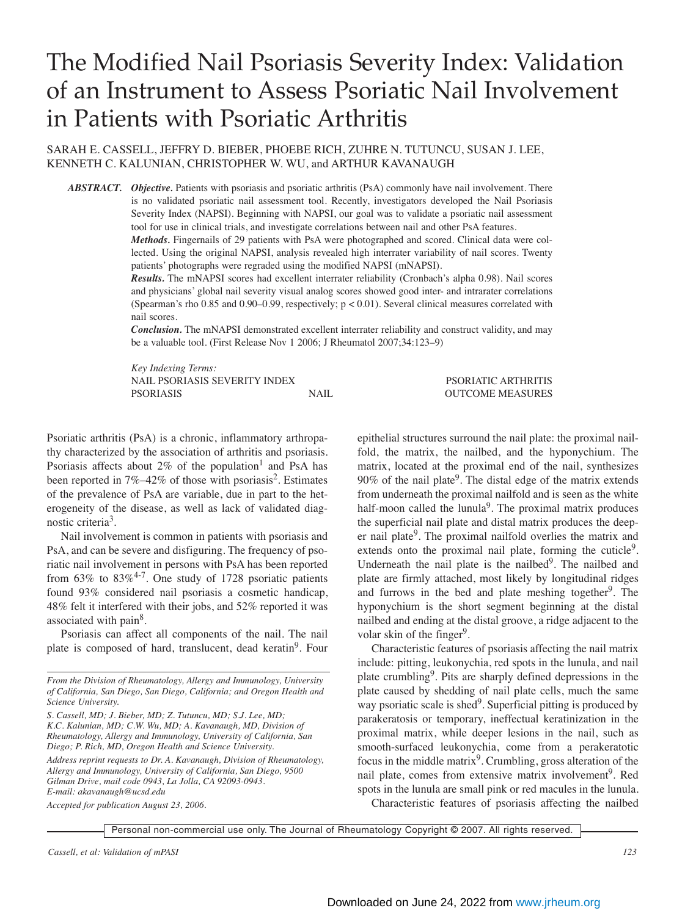# The Modified Nail Psoriasis Severity Index: Validation of an Instrument to Assess Psoriatic Nail Involvement in Patients with Psoriatic Arthritis

SARAH E. CASSELL, JEFFRY D. BIEBER, PHOEBE RICH, ZUHRE N. TUTUNCU, SUSAN J. LEE, KENNETH C. KALUNIAN, CHRISTOPHER W. WU, and ARTHUR KAVANAUGH

*ABSTRACT. Objective.* Patients with psoriasis and psoriatic arthritis (PsA) commonly have nail involvement. There is no validated psoriatic nail assessment tool. Recently, investigators developed the Nail Psoriasis Severity Index (NAPSI). Beginning with NAPSI, our goal was to validate a psoriatic nail assessment tool for use in clinical trials, and investigate correlations between nail and other PsA features.

*Methods.* Fingernails of 29 patients with PsA were photographed and scored. Clinical data were collected. Using the original NAPSI, analysis revealed high interrater variability of nail scores. Twenty patients' photographs were regraded using the modified NAPSI (mNAPSI).

*Results.* The mNAPSI scores had excellent interrater reliability (Cronbach's alpha 0.98). Nail scores and physicians' global nail severity visual analog scores showed good inter- and intrarater correlations (Spearman's rho 0.85 and 0.90–0.99, respectively; p < 0.01). Several clinical measures correlated with nail scores.

*Conclusion.* The mNAPSI demonstrated excellent interrater reliability and construct validity, and may be a valuable tool. (First Release Nov 1 2006; J Rheumatol 2007;34:123–9)

*Key Indexing Terms:* NAIL PSORIASIS SEVERITY INDEX PSORIATIC ARTHRITIS PSORIASIS NAIL OUTCOME MEASURES

Psoriatic arthritis (PsA) is a chronic, inflammatory arthropathy characterized by the association of arthritis and psoriasis. Psoriasis affects about  $2\%$  of the population<sup>1</sup> and PsA has been reported in  $7\% -42\%$  of those with psoriasis<sup>2</sup>. Estimates of the prevalence of PsA are variable, due in part to the heterogeneity of the disease, as well as lack of validated diagnostic criteria3.

Nail involvement is common in patients with psoriasis and PsA, and can be severe and disfiguring. The frequency of psoriatic nail involvement in persons with PsA has been reported from  $63\%$  to  $83\%^{4-7}$ . One study of 1728 psoriatic patients found 93% considered nail psoriasis a cosmetic handicap, 48% felt it interfered with their jobs, and 52% reported it was associated with pain<sup>8</sup>.

Psoriasis can affect all components of the nail. The nail plate is composed of hard, translucent, dead keratin<sup>9</sup>. Four

*From the Division of Rheumatology, Allergy and Immunology, University of California, San Diego, San Diego, California; and Oregon Health and Science University.*

*S. Cassell, MD; J. Bieber, MD; Z. Tutuncu, MD; S.J. Lee, MD; K.C. Kalunian, MD; C.W. Wu, MD; A. Kavanaugh, MD, Division of Rheumatology, Allergy and Immunology, University of California, San Diego; P. Rich, MD, Oregon Health and Science University.*

*Address reprint requests to Dr. A. Kavanaugh, Division of Rheumatology, Allergy and Immunology, University of California, San Diego, 9500 Gilman Drive, mail code 0943, La Jolla, CA 92093-0943. E-mail: akavanaugh@ucsd.edu*

*Accepted for publication August 23, 2006.*

epithelial structures surround the nail plate: the proximal nailfold, the matrix, the nailbed, and the hyponychium. The matrix, located at the proximal end of the nail, synthesizes  $90\%$  of the nail plate<sup>9</sup>. The distal edge of the matrix extends from underneath the proximal nailfold and is seen as the white half-moon called the lunula<sup>9</sup>. The proximal matrix produces the superficial nail plate and distal matrix produces the deeper nail plate<sup>9</sup>. The proximal nailfold overlies the matrix and extends onto the proximal nail plate, forming the cuticle $9$ . Underneath the nail plate is the nailbed<sup>9</sup>. The nailbed and plate are firmly attached, most likely by longitudinal ridges and furrows in the bed and plate meshing together $9^{\circ}$ . The hyponychium is the short segment beginning at the distal nailbed and ending at the distal groove, a ridge adjacent to the volar skin of the finger<sup>9</sup>.

Characteristic features of psoriasis affecting the nail matrix include: pitting, leukonychia, red spots in the lunula, and nail plate crumbling9. Pits are sharply defined depressions in the plate caused by shedding of nail plate cells, much the same way psoriatic scale is shed $9$ . Superficial pitting is produced by parakeratosis or temporary, ineffectual keratinization in the proximal matrix, while deeper lesions in the nail, such as smooth-surfaced leukonychia, come from a perakeratotic focus in the middle matrix<sup>9</sup>. Crumbling, gross alteration of the nail plate, comes from extensive matrix involvement<sup>9</sup>. Red spots in the lunula are small pink or red macules in the lunula. Characteristic features of psoriasis affecting the nailbed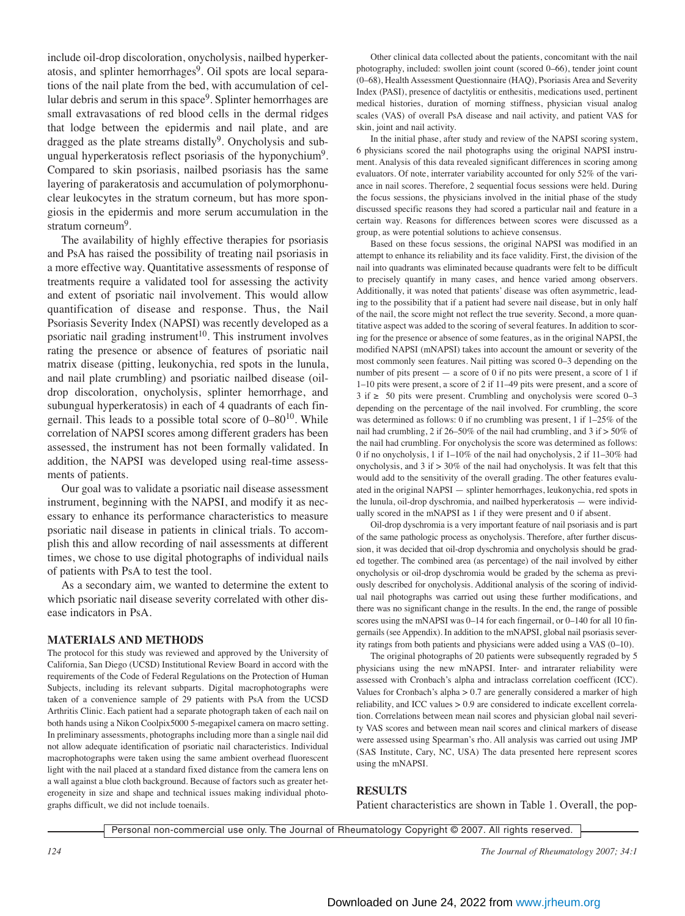include oil-drop discoloration, onycholysis, nailbed hyperkeratosis, and splinter hemorrhages<sup>9</sup>. Oil spots are local separations of the nail plate from the bed, with accumulation of cellular debris and serum in this space<sup>9</sup>. Splinter hemorrhages are small extravasations of red blood cells in the dermal ridges that lodge between the epidermis and nail plate, and are dragged as the plate streams distally<sup>9</sup>. Onycholysis and subungual hyperkeratosis reflect psoriasis of the hyponychium9. Compared to skin psoriasis, nailbed psoriasis has the same layering of parakeratosis and accumulation of polymorphonuclear leukocytes in the stratum corneum, but has more spongiosis in the epidermis and more serum accumulation in the stratum corneum<sup>9</sup>.

The availability of highly effective therapies for psoriasis and PsA has raised the possibility of treating nail psoriasis in a more effective way. Quantitative assessments of response of treatments require a validated tool for assessing the activity and extent of psoriatic nail involvement. This would allow quantification of disease and response. Thus, the Nail Psoriasis Severity Index (NAPSI) was recently developed as a psoriatic nail grading instrument<sup>10</sup>. This instrument involves rating the presence or absence of features of psoriatic nail matrix disease (pitting, leukonychia, red spots in the lunula, and nail plate crumbling) and psoriatic nailbed disease (oildrop discoloration, onycholysis, splinter hemorrhage, and subungual hyperkeratosis) in each of 4 quadrants of each fingernail. This leads to a possible total score of 0–8010. While correlation of NAPSI scores among different graders has been assessed, the instrument has not been formally validated. In addition, the NAPSI was developed using real-time assessments of patients.

Our goal was to validate a psoriatic nail disease assessment instrument, beginning with the NAPSI, and modify it as necessary to enhance its performance characteristics to measure psoriatic nail disease in patients in clinical trials. To accomplish this and allow recording of nail assessments at different times, we chose to use digital photographs of individual nails of patients with PsA to test the tool.

As a secondary aim, we wanted to determine the extent to which psoriatic nail disease severity correlated with other disease indicators in PsA.

## **MATERIALS AND METHODS**

The protocol for this study was reviewed and approved by the University of California, San Diego (UCSD) Institutional Review Board in accord with the requirements of the Code of Federal Regulations on the Protection of Human Subjects, including its relevant subparts. Digital macrophotographs were taken of a convenience sample of 29 patients with PsA from the UCSD Arthritis Clinic. Each patient had a separate photograph taken of each nail on both hands using a Nikon Coolpix5000 5-megapixel camera on macro setting. In preliminary assessments, photographs including more than a single nail did not allow adequate identification of psoriatic nail characteristics. Individual macrophotographs were taken using the same ambient overhead fluorescent light with the nail placed at a standard fixed distance from the camera lens on a wall against a blue cloth background. Because of factors such as greater heterogeneity in size and shape and technical issues making individual photographs difficult, we did not include toenails.

Other clinical data collected about the patients, concomitant with the nail photography, included: swollen joint count (scored 0–66), tender joint count (0–68), Health Assessment Questionnaire (HAQ), Psoriasis Area and Severity Index (PASI), presence of dactylitis or enthesitis, medications used, pertinent medical histories, duration of morning stiffness, physician visual analog scales (VAS) of overall PsA disease and nail activity, and patient VAS for skin, joint and nail activity.

In the initial phase, after study and review of the NAPSI scoring system, 6 physicians scored the nail photographs using the original NAPSI instrument. Analysis of this data revealed significant differences in scoring among evaluators. Of note, interrater variability accounted for only 52% of the variance in nail scores. Therefore, 2 sequential focus sessions were held. During the focus sessions, the physicians involved in the initial phase of the study discussed specific reasons they had scored a particular nail and feature in a certain way. Reasons for differences between scores were discussed as a group, as were potential solutions to achieve consensus.

Based on these focus sessions, the original NAPSI was modified in an attempt to enhance its reliability and its face validity. First, the division of the nail into quadrants was eliminated because quadrants were felt to be difficult to precisely quantify in many cases, and hence varied among observers. Additionally, it was noted that patients' disease was often asymmetric, leading to the possibility that if a patient had severe nail disease, but in only half of the nail, the score might not reflect the true severity. Second, a more quantitative aspect was added to the scoring of several features. In addition to scoring for the presence or absence of some features, as in the original NAPSI, the modified NAPSI (mNAPSI) takes into account the amount or severity of the most commonly seen features. Nail pitting was scored 0–3 depending on the number of pits present  $-$  a score of 0 if no pits were present, a score of 1 if 1–10 pits were present, a score of 2 if 11–49 pits were present, and a score of  $3$  if  $\geq$  50 pits were present. Crumbling and onycholysis were scored 0–3 depending on the percentage of the nail involved. For crumbling, the score was determined as follows: 0 if no crumbling was present, 1 if 1–25% of the nail had crumbling, 2 if 26–50% of the nail had crumbling, and 3 if > 50% of the nail had crumbling. For onycholysis the score was determined as follows: 0 if no onycholysis, 1 if 1–10% of the nail had onycholysis, 2 if 11–30% had onycholysis, and 3 if > 30% of the nail had onycholysis. It was felt that this would add to the sensitivity of the overall grading. The other features evaluated in the original NAPSI — splinter hemorrhages, leukonychia, red spots in the lunula, oil-drop dyschromia, and nailbed hyperkeratosis — were individually scored in the mNAPSI as 1 if they were present and 0 if absent.

Oil-drop dyschromia is a very important feature of nail psoriasis and is part of the same pathologic process as onycholysis. Therefore, after further discussion, it was decided that oil-drop dyschromia and onycholysis should be graded together. The combined area (as percentage) of the nail involved by either onycholysis or oil-drop dyschromia would be graded by the schema as previously described for onycholysis. Additional analysis of the scoring of individual nail photographs was carried out using these further modifications, and there was no significant change in the results. In the end, the range of possible scores using the mNAPSI was 0–14 for each fingernail, or 0–140 for all 10 fingernails (see Appendix). In addition to the mNAPSI, global nail psoriasis severity ratings from both patients and physicians were added using a VAS (0–10).

The original photographs of 20 patients were subsequently regraded by 5 physicians using the new mNAPSI. Inter- and intrarater reliability were assessed with Cronbach's alpha and intraclass correlation coefficent (ICC). Values for Cronbach's alpha > 0.7 are generally considered a marker of high reliability, and ICC values > 0.9 are considered to indicate excellent correlation. Correlations between mean nail scores and physician global nail severity VAS scores and between mean nail scores and clinical markers of disease were assessed using Spearman's rho. All analysis was carried out using JMP (SAS Institute, Cary, NC, USA) The data presented here represent scores using the mNAPSI.

## **RESULTS**

Patient characteristics are shown in Table 1. Overall, the pop-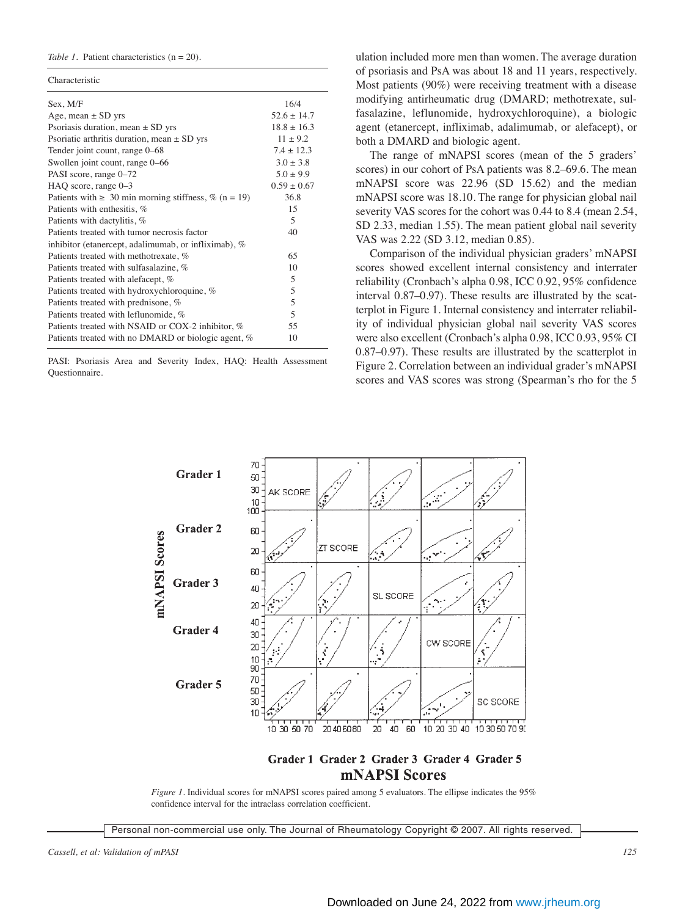## *Table 1.* Patient characteristics (n = 20).

| Sex, M/F                                                  | 16/4            |  |
|-----------------------------------------------------------|-----------------|--|
| Age, mean $\pm$ SD yrs                                    | $52.6 \pm 14.7$ |  |
| Psoriasis duration, mean $\pm$ SD yrs                     | $18.8 \pm 16.3$ |  |
| Psoriatic arthritis duration, mean $\pm$ SD yrs           | $11 \pm 9.2$    |  |
| Tender joint count, range 0–68                            | $7.4 \pm 12.3$  |  |
| Swollen joint count, range 0–66                           | $3.0 \pm 3.8$   |  |
| PASI score, range 0–72                                    | $5.0 \pm 9.9$   |  |
| HAQ score, range 0–3                                      | $0.59 \pm 0.67$ |  |
| Patients with $\geq 30$ min morning stiffness, % (n = 19) | 36.8            |  |
| Patients with enthesitis, %                               | 15              |  |
| Patients with dactylitis, %                               | 5               |  |
| Patients treated with tumor necrosis factor               | 40              |  |
| inhibitor (etanercept, adalimumab, or infliximab), %      |                 |  |
| Patients treated with methotrexate, %                     | 65              |  |
| Patients treated with sulfasalazine, %                    | 10              |  |
| Patients treated with alefacept, %                        | 5               |  |
| Patients treated with hydroxychloroquine, %               | 5               |  |
| Patients treated with prednisone, %                       | 5               |  |
| Patients treated with leflunomide, %                      | 5               |  |
| Patients treated with NSAID or COX-2 inhibitor, %         | 55              |  |
| Patients treated with no DMARD or biologic agent, %       | 10              |  |
|                                                           |                 |  |

PASI: Psoriasis Area and Severity Index, HAQ: Health Assessment Questionnaire.

ulation included more men than women. The average duration of psoriasis and PsA was about 18 and 11 years, respectively. Most patients (90%) were receiving treatment with a disease modifying antirheumatic drug (DMARD; methotrexate, sulfasalazine, leflunomide, hydroxychloroquine), a biologic agent (etanercept, infliximab, adalimumab, or alefacept), or both a DMARD and biologic agent.

The range of mNAPSI scores (mean of the 5 graders' scores) in our cohort of PsA patients was 8.2–69.6. The mean mNAPSI score was 22.96 (SD 15.62) and the median mNAPSI score was 18.10. The range for physician global nail severity VAS scores for the cohort was 0.44 to 8.4 (mean 2.54, SD 2.33, median 1.55). The mean patient global nail severity VAS was 2.22 (SD 3.12, median 0.85).

Comparison of the individual physician graders' mNAPSI scores showed excellent internal consistency and interrater reliability (Cronbach's alpha 0.98, ICC 0.92, 95% confidence interval 0.87–0.97). These results are illustrated by the scatterplot in Figure 1. Internal consistency and interrater reliability of individual physician global nail severity VAS scores were also excellent (Cronbach's alpha 0.98, ICC 0.93, 95% CI 0.87–0.97). These results are illustrated by the scatterplot in Figure 2. Correlation between an individual grader's mNAPSI scores and VAS scores was strong (Spearman's rho for the 5



# Grader 1 Grader 2 Grader 3 Grader 4 Grader 5 **mNAPSI** Scores

*Figure 1.* Individual scores for mNAPSI scores paired among 5 evaluators. The ellipse indicates the 95% confidence interval for the intraclass correlation coefficient.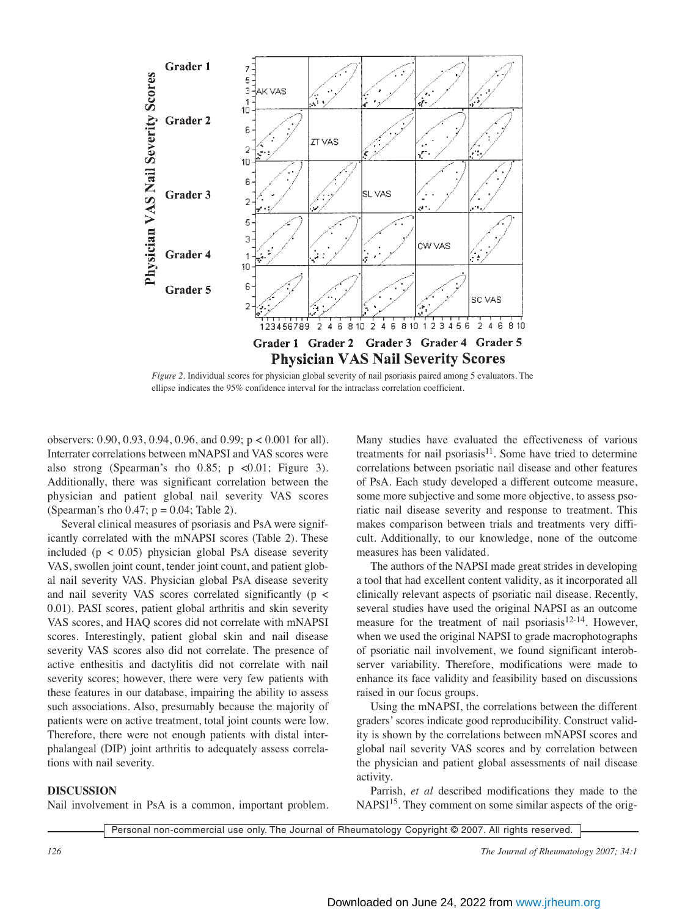

*Figure 2.* Individual scores for physician global severity of nail psoriasis paired among 5 evaluators. The ellipse indicates the 95% confidence interval for the intraclass correlation coefficient.

observers: 0.90, 0.93, 0.94, 0.96, and 0.99; p < 0.001 for all). Interrater correlations between mNAPSI and VAS scores were also strong (Spearman's rho  $0.85$ ; p <0.01; Figure 3). Additionally, there was significant correlation between the physician and patient global nail severity VAS scores (Spearman's rho  $0.47$ ;  $p = 0.04$ ; Table 2).

Several clinical measures of psoriasis and PsA were significantly correlated with the mNAPSI scores (Table 2). These included ( $p < 0.05$ ) physician global PsA disease severity VAS, swollen joint count, tender joint count, and patient global nail severity VAS. Physician global PsA disease severity and nail severity VAS scores correlated significantly (p < 0.01). PASI scores, patient global arthritis and skin severity VAS scores, and HAQ scores did not correlate with mNAPSI scores. Interestingly, patient global skin and nail disease severity VAS scores also did not correlate. The presence of active enthesitis and dactylitis did not correlate with nail severity scores; however, there were very few patients with these features in our database, impairing the ability to assess such associations. Also, presumably because the majority of patients were on active treatment, total joint counts were low. Therefore, there were not enough patients with distal interphalangeal (DIP) joint arthritis to adequately assess correlations with nail severity.

## **DISCUSSION**

Nail involvement in PsA is a common, important problem.

Many studies have evaluated the effectiveness of various treatments for nail psoriasis $11$ . Some have tried to determine correlations between psoriatic nail disease and other features of PsA. Each study developed a different outcome measure, some more subjective and some more objective, to assess psoriatic nail disease severity and response to treatment. This makes comparison between trials and treatments very difficult. Additionally, to our knowledge, none of the outcome measures has been validated.

The authors of the NAPSI made great strides in developing a tool that had excellent content validity, as it incorporated all clinically relevant aspects of psoriatic nail disease. Recently, several studies have used the original NAPSI as an outcome measure for the treatment of nail psoriasis<sup>12-14</sup>. However, when we used the original NAPSI to grade macrophotographs of psoriatic nail involvement, we found significant interobserver variability. Therefore, modifications were made to enhance its face validity and feasibility based on discussions raised in our focus groups.

Using the mNAPSI, the correlations between the different graders' scores indicate good reproducibility. Construct validity is shown by the correlations between mNAPSI scores and global nail severity VAS scores and by correlation between the physician and patient global assessments of nail disease activity.

Parrish, *et al* described modifications they made to the NAPSI<sup>15</sup>. They comment on some similar aspects of the orig-

Personal non-commercial use only. The Journal of Rheumatology Copyright © 2007. All rights reserved.

*126 The Journal of Rheumatology 2007; 34:1*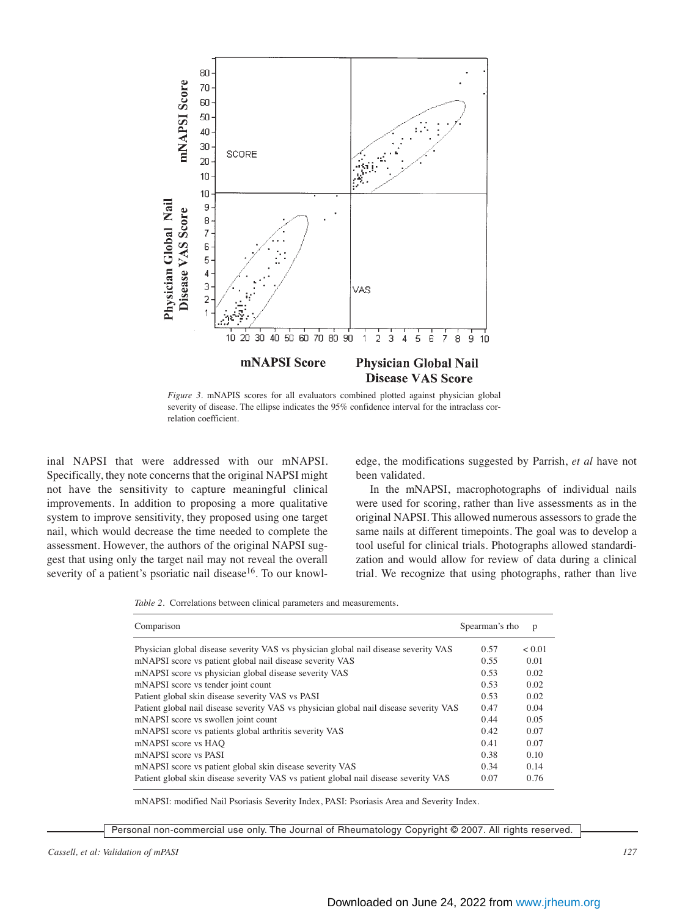

*Figure 3.* mNAPIS scores for all evaluators combined plotted against physician global severity of disease. The ellipse indicates the 95% confidence interval for the intraclass correlation coefficient.

inal NAPSI that were addressed with our mNAPSI. Specifically, they note concerns that the original NAPSI might not have the sensitivity to capture meaningful clinical improvements. In addition to proposing a more qualitative system to improve sensitivity, they proposed using one target nail, which would decrease the time needed to complete the assessment. However, the authors of the original NAPSI suggest that using only the target nail may not reveal the overall severity of a patient's psoriatic nail disease<sup>16</sup>. To our knowledge, the modifications suggested by Parrish, *et al* have not been validated.

In the mNAPSI, macrophotographs of individual nails were used for scoring, rather than live assessments as in the original NAPSI. This allowed numerous assessors to grade the same nails at different timepoints. The goal was to develop a tool useful for clinical trials. Photographs allowed standardization and would allow for review of data during a clinical trial. We recognize that using photographs, rather than live

*Table 2.* Correlations between clinical parameters and measurements.

| Comparison                                                                             | Spearman's rho | p      |
|----------------------------------------------------------------------------------------|----------------|--------|
| Physician global disease severity VAS vs physician global nail disease severity VAS    | 0.57           | < 0.01 |
| mNAPSI score vs patient global nail disease severity VAS                               | 0.55           | 0.01   |
| mNAPSI score vs physician global disease severity VAS                                  | 0.53           | 0.02   |
| mNAPSI score vs tender joint count                                                     | 0.53           | 0.02   |
| Patient global skin disease severity VAS vs PASI                                       | 0.53           | 0.02   |
| Patient global nail disease severity VAS vs physician global nail disease severity VAS | 0.47           | 0.04   |
| mNAPSI score vs swollen joint count                                                    | 0.44           | 0.05   |
| mNAPSI score vs patients global arthritis severity VAS                                 | 0.42           | 0.07   |
| mNAPSI score vs HAO                                                                    | 0.41           | 0.07   |
| mNAPSI score vs PASI                                                                   | 0.38           | 0.10   |
| mNAPSI score vs patient global skin disease severity VAS                               | 0.34           | 0.14   |
| Patient global skin disease severity VAS vs patient global nail disease severity VAS   | 0.07           | 0.76   |

mNAPSI: modified Nail Psoriasis Severity Index, PASI: Psoriasis Area and Severity Index.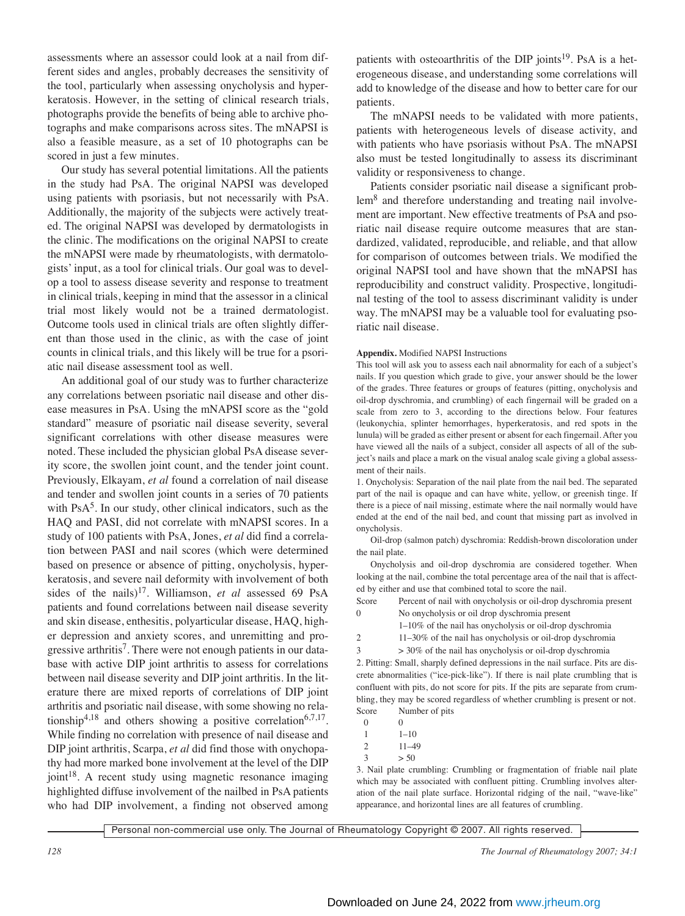assessments where an assessor could look at a nail from different sides and angles, probably decreases the sensitivity of the tool, particularly when assessing onycholysis and hyperkeratosis. However, in the setting of clinical research trials, photographs provide the benefits of being able to archive photographs and make comparisons across sites. The mNAPSI is also a feasible measure, as a set of 10 photographs can be scored in just a few minutes.

Our study has several potential limitations. All the patients in the study had PsA. The original NAPSI was developed using patients with psoriasis, but not necessarily with PsA. Additionally, the majority of the subjects were actively treated. The original NAPSI was developed by dermatologists in the clinic. The modifications on the original NAPSI to create the mNAPSI were made by rheumatologists, with dermatologists' input, as a tool for clinical trials. Our goal was to develop a tool to assess disease severity and response to treatment in clinical trials, keeping in mind that the assessor in a clinical trial most likely would not be a trained dermatologist. Outcome tools used in clinical trials are often slightly different than those used in the clinic, as with the case of joint counts in clinical trials, and this likely will be true for a psoriatic nail disease assessment tool as well.

An additional goal of our study was to further characterize any correlations between psoriatic nail disease and other disease measures in PsA. Using the mNAPSI score as the "gold standard" measure of psoriatic nail disease severity, several significant correlations with other disease measures were noted. These included the physician global PsA disease severity score, the swollen joint count, and the tender joint count. Previously, Elkayam, *et al* found a correlation of nail disease and tender and swollen joint counts in a series of 70 patients with  $PsA<sup>5</sup>$ . In our study, other clinical indicators, such as the HAQ and PASI, did not correlate with mNAPSI scores. In a study of 100 patients with PsA, Jones, *et al* did find a correlation between PASI and nail scores (which were determined based on presence or absence of pitting, onycholysis, hyperkeratosis, and severe nail deformity with involvement of both sides of the nails)17. Williamson, *et al* assessed 69 PsA patients and found correlations between nail disease severity and skin disease, enthesitis, polyarticular disease, HAQ, higher depression and anxiety scores, and unremitting and progressive arthritis<sup>7</sup>. There were not enough patients in our database with active DIP joint arthritis to assess for correlations between nail disease severity and DIP joint arthritis. In the literature there are mixed reports of correlations of DIP joint arthritis and psoriatic nail disease, with some showing no relationship<sup>4,18</sup> and others showing a positive correlation<sup>6,7,17</sup>. While finding no correlation with presence of nail disease and DIP joint arthritis, Scarpa, *et al* did find those with onychopathy had more marked bone involvement at the level of the DIP joint<sup>18</sup>. A recent study using magnetic resonance imaging highlighted diffuse involvement of the nailbed in PsA patients who had DIP involvement, a finding not observed among

patients with osteoarthritis of the DIP joints<sup>19</sup>. PsA is a heterogeneous disease, and understanding some correlations will add to knowledge of the disease and how to better care for our patients.

The mNAPSI needs to be validated with more patients, patients with heterogeneous levels of disease activity, and with patients who have psoriasis without PsA. The mNAPSI also must be tested longitudinally to assess its discriminant validity or responsiveness to change.

Patients consider psoriatic nail disease a significant problem<sup>8</sup> and therefore understanding and treating nail involvement are important. New effective treatments of PsA and psoriatic nail disease require outcome measures that are standardized, validated, reproducible, and reliable, and that allow for comparison of outcomes between trials. We modified the original NAPSI tool and have shown that the mNAPSI has reproducibility and construct validity. Prospective, longitudinal testing of the tool to assess discriminant validity is under way. The mNAPSI may be a valuable tool for evaluating psoriatic nail disease.

#### **Appendix.** Modified NAPSI Instructions

This tool will ask you to assess each nail abnormality for each of a subject's nails. If you question which grade to give, your answer should be the lower of the grades. Three features or groups of features (pitting, onycholysis and oil-drop dyschromia, and crumbling) of each fingernail will be graded on a scale from zero to 3, according to the directions below. Four features (leukonychia, splinter hemorrhages, hyperkeratosis, and red spots in the lunula) will be graded as either present or absent for each fingernail. After you have viewed all the nails of a subject, consider all aspects of all of the subject's nails and place a mark on the visual analog scale giving a global assessment of their nails.

1. Onycholysis: Separation of the nail plate from the nail bed. The separated part of the nail is opaque and can have white, yellow, or greenish tinge. If there is a piece of nail missing, estimate where the nail normally would have ended at the end of the nail bed, and count that missing part as involved in onycholysis.

Oil-drop (salmon patch) dyschromia: Reddish-brown discoloration under the nail plate.

Onycholysis and oil-drop dyschromia are considered together. When looking at the nail, combine the total percentage area of the nail that is affected by either and use that combined total to score the nail.

- Score Percent of nail with onycholysis or oil-drop dyschromia present
- 0 No onycholysis or oil drop dyschromia present
- 1–10% of the nail has onycholysis or oil-drop dyschromia 2 11–30% of the nail has onycholysis or oil-drop dyschromia

 $3 \times 30\%$  of the nail has onycholysis or oil-drop dyschromia

2. Pitting: Small, sharply defined depressions in the nail surface. Pits are discrete abnormalities ("ice-pick-like"). If there is nail plate crumbling that is confluent with pits, do not score for pits. If the pits are separate from crumbling, they may be scored regardless of whether crumbling is present or not. Score Number of pits

0 0

1 1–10

- 2 11–49
- $3 \t > 50$

3. Nail plate crumbling: Crumbling or fragmentation of friable nail plate which may be associated with confluent pitting. Crumbling involves alteration of the nail plate surface. Horizontal ridging of the nail, "wave-like" appearance, and horizontal lines are all features of crumbling.